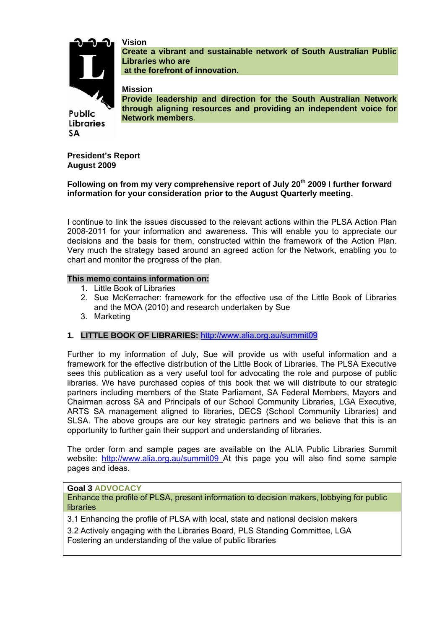

Public **Libraries** 

SΑ

**Create a vibrant and sustainable network of South Australian Public Libraries who are at the forefront of innovation.** 

**Mission** 

**Vision** 

**Provide leadership and direction for the South Australian Network through aligning resources and providing an independent voice for Network members.** 

**President's Report August 2009** 

# Following on from my very comprehensive report of July 20<sup>th</sup> 2009 I further forward **information for your consideration prior to the August Quarterly meeting.**

I continue to link the issues discussed to the relevant actions within the PLSA Action Plan 2008-2011 for your information and awareness. This will enable you to appreciate our decisions and the basis for them, constructed within the framework of the Action Plan. Very much the strategy based around an agreed action for the Network, enabling you to chart and monitor the progress of the plan.

## **This memo contains information on:**

- 1. Little Book of Libraries
- 2. Sue McKerracher: framework for the effective use of the Little Book of Libraries and the MOA (2010) and research undertaken by Sue
- 3. Marketing

## **1. LITTLE BOOK OF LIBRARIES:** http://www.alia.org.au/summit09

Further to my information of July, Sue will provide us with useful information and a framework for the effective distribution of the Little Book of Libraries. The PLSA Executive sees this publication as a very useful tool for advocating the role and purpose of public libraries. We have purchased copies of this book that we will distribute to our strategic partners including members of the State Parliament, SA Federal Members, Mayors and Chairman across SA and Principals of our School Community Libraries, LGA Executive, ARTS SA management aligned to libraries, DECS (School Community Libraries) and SLSA. The above groups are our key strategic partners and we believe that this is an opportunity to further gain their support and understanding of libraries.

The order form and sample pages are available on the ALIA Public Libraries Summit website: http://www.alia.org.au/summit09 At this page you will also find some sample pages and ideas.

## **Goal 3 ADVOCACY**

Enhance the profile of PLSA, present information to decision makers, lobbying for public libraries

3.1 Enhancing the profile of PLSA with local, state and national decision makers

3.2 Actively engaging with the Libraries Board, PLS Standing Committee, LGA Fostering an understanding of the value of public libraries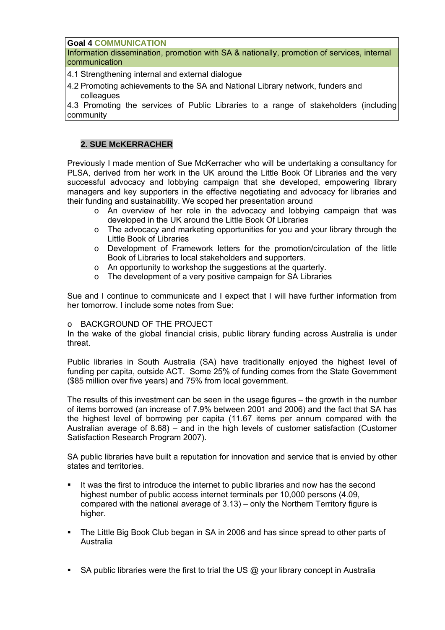**Goal 4 COMMUNICATION**

Information dissemination, promotion with SA & nationally, promotion of services, internal communication

4.1 Strengthening internal and external dialogue

4.2 Promoting achievements to the SA and National Library network, funders and colleagues

4.3 Promoting the services of Public Libraries to a range of stakeholders (including community

## **2. SUE McKERRACHER**

Previously I made mention of Sue McKerracher who will be undertaking a consultancy for PLSA, derived from her work in the UK around the Little Book Of Libraries and the very successful advocacy and lobbying campaign that she developed, empowering library managers and key supporters in the effective negotiating and advocacy for libraries and their funding and sustainability. We scoped her presentation around

- o An overview of her role in the advocacy and lobbying campaign that was developed in the UK around the Little Book Of Libraries
- o The advocacy and marketing opportunities for you and your library through the Little Book of Libraries
- o Development of Framework letters for the promotion/circulation of the little Book of Libraries to local stakeholders and supporters.
- o An opportunity to workshop the suggestions at the quarterly.
- o The development of a very positive campaign for SA Libraries

Sue and I continue to communicate and I expect that I will have further information from her tomorrow. I include some notes from Sue:

## o BACKGROUND OF THE PROJECT

In the wake of the global financial crisis, public library funding across Australia is under threat.

Public libraries in South Australia (SA) have traditionally enjoyed the highest level of funding per capita, outside ACT. Some 25% of funding comes from the State Government (\$85 million over five years) and 75% from local government.

The results of this investment can be seen in the usage figures – the growth in the number of items borrowed (an increase of 7.9% between 2001 and 2006) and the fact that SA has the highest level of borrowing per capita (11.67 items per annum compared with the Australian average of 8.68) – and in the high levels of customer satisfaction (Customer Satisfaction Research Program 2007).

SA public libraries have built a reputation for innovation and service that is envied by other states and territories.

- It was the first to introduce the internet to public libraries and now has the second highest number of public access internet terminals per 10,000 persons (4.09, compared with the national average of 3.13) – only the Northern Territory figure is higher.
- The Little Big Book Club began in SA in 2006 and has since spread to other parts of Australia
- SA public libraries were the first to trial the US  $@$  your library concept in Australia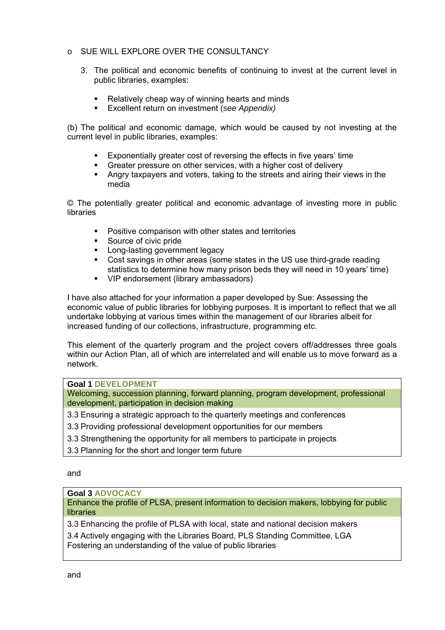- o SUE WILL EXPLORE OVER THE CONSULTANCY
	- 3. The political and economic benefits of continuing to invest at the current level in public libraries, examples:
		- Relatively cheap way of winning hearts and minds
		- Excellent return on investment (*see Appendix)*

(b) The political and economic damage, which would be caused by not investing at the current level in public libraries, examples:

- Exponentially greater cost of reversing the effects in five years' time
- Greater pressure on other services, with a higher cost of delivery
- Angry taxpayers and voters, taking to the streets and airing their views in the media

© The potentially greater political and economic advantage of investing more in public **libraries** 

- Positive comparison with other states and territories
- **Source of civic pride**
- **Long-lasting government legacy**
- Cost savings in other areas (some states in the US use third-grade reading statistics to determine how many prison beds they will need in 10 years' time)
- VIP endorsement (library ambassadors)

I have also attached for your information a paper developed by Sue: Assessing the economic value of public libraries for lobbying purposes. It is important to reflect that we all undertake lobbying at various times within the management of our libraries albeit for increased funding of our collections, infrastructure, programming etc.

This element of the quarterly program and the project covers off/addresses three goals within our Action Plan, all of which are interrelated and will enable us to move forward as a network.

### **Goal 1 DEVELOPMENT**

Welcoming, succession planning, forward planning, program development, professional development, participation in decision making

- 3.3 Ensuring a strategic approach to the quarterly meetings and conferences
- 3.3 Providing professional development opportunities for our members
- 3.3 Strengthening the opportunity for all members to participate in projects
- 3.3 Planning for the short and longer term future

and

### **Goal 3 ADVOCACY**

Enhance the profile of PLSA, present information to decision makers, lobbying for public libraries

3.3 Enhancing the profile of PLSA with local, state and national decision makers

3.4 Actively engaging with the Libraries Board, PLS Standing Committee, LGA Fostering an understanding of the value of public libraries